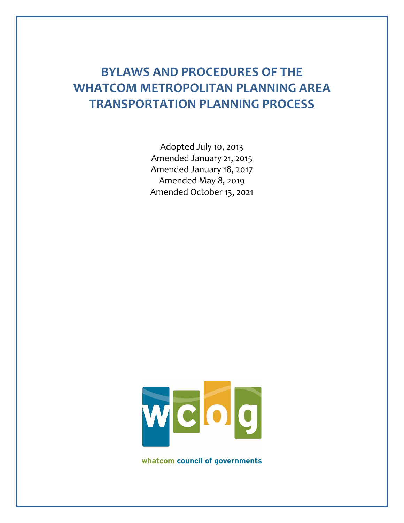# **BYLAWS AND PROCEDURES OF THE WHATCOM METROPOLITAN PLANNING AREA TRANSPORTATION PLANNING PROCESS**

Adopted July 10, 2013 Amended January 21, 2015 Amended January 18, 2017 Amended May 8, 2019 Amended October 13, 2021



whatcom council of governments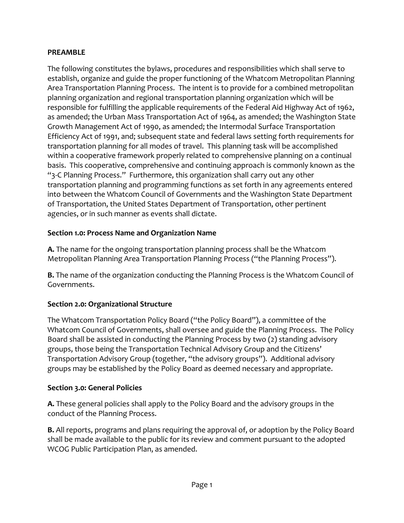#### **PREAMBLE**

The following constitutes the bylaws, procedures and responsibilities which shall serve to establish, organize and guide the proper functioning of the Whatcom Metropolitan Planning Area Transportation Planning Process. The intent is to provide for a combined metropolitan planning organization and regional transportation planning organization which will be responsible for fulfilling the applicable requirements of the Federal Aid Highway Act of 1962, as amended; the Urban Mass Transportation Act of 1964, as amended; the Washington State Growth Management Act of 1990, as amended; the Intermodal Surface Transportation Efficiency Act of 1991, and; subsequent state and federal laws setting forth requirements for transportation planning for all modes of travel. This planning task will be accomplished within a cooperative framework properly related to comprehensive planning on a continual basis. This cooperative, comprehensive and continuing approach is commonly known as the "3-C Planning Process." Furthermore, this organization shall carry out any other transportation planning and programming functions as set forth in any agreements entered into between the Whatcom Council of Governments and the Washington State Department of Transportation, the United States Department of Transportation, other pertinent agencies, or in such manner as events shall dictate.

### **Section 1.0: Process Name and Organization Name**

**A.** The name for the ongoing transportation planning process shall be the Whatcom Metropolitan Planning Area Transportation Planning Process ("the Planning Process").

**B.** The name of the organization conducting the Planning Process is the Whatcom Council of Governments.

# **Section 2.0: Organizational Structure**

The Whatcom Transportation Policy Board ("the Policy Board"), a committee of the Whatcom Council of Governments, shall oversee and guide the Planning Process. The Policy Board shall be assisted in conducting the Planning Process by two (2) standing advisory groups, those being the Transportation Technical Advisory Group and the Citizens' Transportation Advisory Group (together, "the advisory groups"). Additional advisory groups may be established by the Policy Board as deemed necessary and appropriate.

### **Section 3.0: General Policies**

**A.** These general policies shall apply to the Policy Board and the advisory groups in the conduct of the Planning Process.

**B.** All reports, programs and plans requiring the approval of, or adoption by the Policy Board shall be made available to the public for its review and comment pursuant to the adopted WCOG Public Participation Plan, as amended.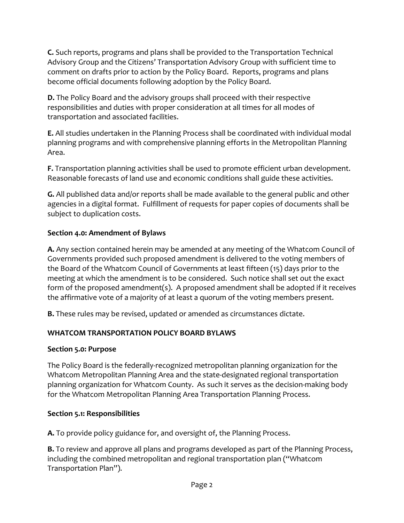**C.** Such reports, programs and plans shall be provided to the Transportation Technical Advisory Group and the Citizens' Transportation Advisory Group with sufficient time to comment on drafts prior to action by the Policy Board. Reports, programs and plans become official documents following adoption by the Policy Board.

**D.** The Policy Board and the advisory groups shall proceed with their respective responsibilities and duties with proper consideration at all times for all modes of transportation and associated facilities.

**E.** All studies undertaken in the Planning Process shall be coordinated with individual modal planning programs and with comprehensive planning efforts in the Metropolitan Planning Area.

**F.** Transportation planning activities shall be used to promote efficient urban development. Reasonable forecasts of land use and economic conditions shall guide these activities.

**G.** All published data and/or reports shall be made available to the general public and other agencies in a digital format. Fulfillment of requests for paper copies of documents shall be subject to duplication costs.

## **Section 4.0: Amendment of Bylaws**

**A.** Any section contained herein may be amended at any meeting of the Whatcom Council of Governments provided such proposed amendment is delivered to the voting members of the Board of the Whatcom Council of Governments at least fifteen (15) days prior to the meeting at which the amendment is to be considered. Such notice shall set out the exact form of the proposed amendment(s). A proposed amendment shall be adopted if it receives the affirmative vote of a majority of at least a quorum of the voting members present.

**B.** These rules may be revised, updated or amended as circumstances dictate.

# **WHATCOM TRANSPORTATION POLICY BOARD BYLAWS**

### **Section 5.0: Purpose**

The Policy Board is the federally-recognized metropolitan planning organization for the Whatcom Metropolitan Planning Area and the state-designated regional transportation planning organization for Whatcom County. As such it serves as the decision-making body for the Whatcom Metropolitan Planning Area Transportation Planning Process.

# **Section 5.1: Responsibilities**

**A.** To provide policy guidance for, and oversight of, the Planning Process.

**B.** To review and approve all plans and programs developed as part of the Planning Process, including the combined metropolitan and regional transportation plan ("Whatcom Transportation Plan").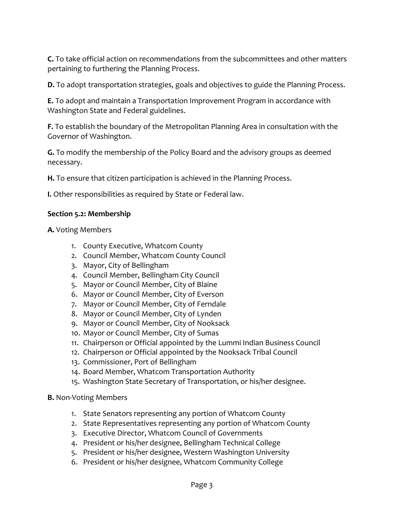**C.** To take official action on recommendations from the subcommittees and other matters pertaining to furthering the Planning Process.

**D.** To adopt transportation strategies, goals and objectives to guide the Planning Process.

**E.** To adopt and maintain a Transportation Improvement Program in accordance with Washington State and Federal guidelines.

**F.** To establish the boundary of the Metropolitan Planning Area in consultation with the Governor of Washington.

**G.** To modify the membership of the Policy Board and the advisory groups as deemed necessary.

**H.** To ensure that citizen participation is achieved in the Planning Process.

**I.** Other responsibilities as required by State or Federal law.

#### **Section 5.2: Membership**

**A.** Voting Members

- 1. County Executive, Whatcom County
- 2. Council Member, Whatcom County Council
- 3. Mayor, City of Bellingham
- 4. Council Member, Bellingham City Council
- 5. Mayor or Council Member, City of Blaine
- 6. Mayor or Council Member, City of Everson
- 7. Mayor or Council Member, City of Ferndale
- 8. Mayor or Council Member, City of Lynden
- 9. Mayor or Council Member, City of Nooksack
- 10. Mayor or Council Member, City of Sumas
- 11. Chairperson or Official appointed by the Lummi Indian Business Council
- 12. Chairperson or Official appointed by the Nooksack Tribal Council
- 13. Commissioner, Port of Bellingham
- 14. Board Member, Whatcom Transportation Authority
- 15. Washington State Secretary of Transportation, or his/her designee.

#### **B.** Non-Voting Members

- 1. State Senators representing any portion of Whatcom County
- 2. State Representatives representing any portion of Whatcom County
- 3. Executive Director, Whatcom Council of Governments
- 4. President or his/her designee, Bellingham Technical College
- 5. President or his/her designee, Western Washington University
- 6. President or his/her designee, Whatcom Community College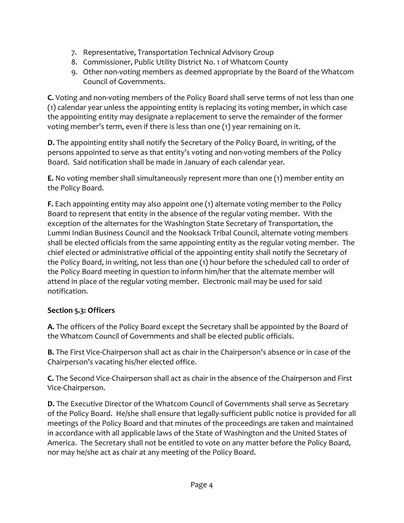- 7. Representative, Transportation Technical Advisory Group
- 8. Commissioner, Public Utility District No. 1 of Whatcom County
- 9. Other non-voting members as deemed appropriate by the Board of the Whatcom Council of Governments.

**C.** Voting and non-voting members of the Policy Board shall serve terms of not less than one (1) calendar year unless the appointing entity is replacing its voting member, in which case the appointing entity may designate a replacement to serve the remainder of the former voting member's term, even if there is less than one (1) year remaining on it.

**D.** The appointing entity shall notify the Secretary of the Policy Board, in writing, of the persons appointed to serve as that entity's voting and non-voting members of the Policy Board. Said notification shall be made in January of each calendar year.

**E.** No voting member shall simultaneously represent more than one (1) member entity on the Policy Board.

**F.** Each appointing entity may also appoint one (1) alternate voting member to the Policy Board to represent that entity in the absence of the regular voting member. With the exception of the alternates for the Washington State Secretary of Transportation, the Lummi Indian Business Council and the Nooksack Tribal Council, alternate voting members shall be elected officials from the same appointing entity as the regular voting member. The chief elected or administrative official of the appointing entity shall notify the Secretary of the Policy Board, in writing, not less than one (1) hour before the scheduled call to order of the Policy Board meeting in question to inform him/her that the alternate member will attend in place of the regular voting member. Electronic mail may be used for said notification.

### **Section 5.3: Officers**

**A.** The officers of the Policy Board except the Secretary shall be appointed by the Board of the Whatcom Council of Governments and shall be elected public officials.

**B.** The First Vice-Chairperson shall act as chair in the Chairperson's absence or in case of the Chairperson's vacating his/her elected office.

**C.** The Second Vice-Chairperson shall act as chair in the absence of the Chairperson and First Vice-Chairperson.

**D.** The Executive Director of the Whatcom Council of Governments shall serve as Secretary of the Policy Board. He/she shall ensure that legally-sufficient public notice is provided for all meetings of the Policy Board and that minutes of the proceedings are taken and maintained in accordance with all applicable laws of the State of Washington and the United States of America. The Secretary shall not be entitled to vote on any matter before the Policy Board, nor may he/she act as chair at any meeting of the Policy Board.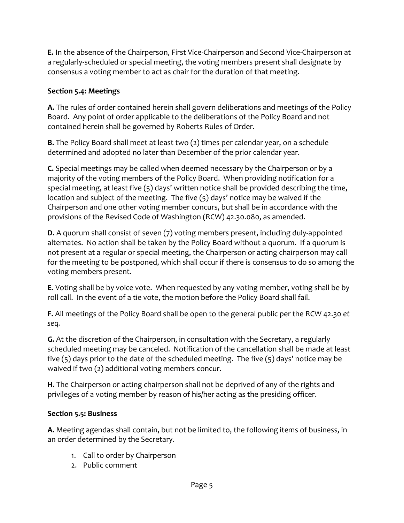**E.** In the absence of the Chairperson, First Vice-Chairperson and Second Vice-Chairperson at a regularly-scheduled or special meeting, the voting members present shall designate by consensus a voting member to act as chair for the duration of that meeting.

## **Section 5.4: Meetings**

**A.** The rules of order contained herein shall govern deliberations and meetings of the Policy Board. Any point of order applicable to the deliberations of the Policy Board and not contained herein shall be governed by Roberts Rules of Order.

**B.** The Policy Board shall meet at least two (2) times per calendar year, on a schedule determined and adopted no later than December of the prior calendar year.

**C.** Special meetings may be called when deemed necessary by the Chairperson or by a majority of the voting members of the Policy Board. When providing notification for a special meeting, at least five (5) days' written notice shall be provided describing the time, location and subject of the meeting. The five (5) days' notice may be waived if the Chairperson and one other voting member concurs, but shall be in accordance with the provisions of the Revised Code of Washington (RCW) 42.30.080, as amended.

**D.** A quorum shall consist of seven (7) voting members present, including duly-appointed alternates. No action shall be taken by the Policy Board without a quorum. If a quorum is not present at a regular or special meeting, the Chairperson or acting chairperson may call for the meeting to be postponed, which shall occur if there is consensus to do so among the voting members present.

**E.** Voting shall be by voice vote. When requested by any voting member, voting shall be by roll call. In the event of a tie vote, the motion before the Policy Board shall fail.

**F.** All meetings of the Policy Board shall be open to the general public per the RCW 42.30 *et seq.*

**G.** At the discretion of the Chairperson, in consultation with the Secretary, a regularly scheduled meeting may be canceled. Notification of the cancellation shall be made at least five (5) days prior to the date of the scheduled meeting. The five (5) days' notice may be waived if two (2) additional voting members concur.

**H.** The Chairperson or acting chairperson shall not be deprived of any of the rights and privileges of a voting member by reason of his/her acting as the presiding officer.

# **Section 5.5: Business**

**A.** Meeting agendas shall contain, but not be limited to, the following items of business, in an order determined by the Secretary.

- 1. Call to order by Chairperson
- 2. Public comment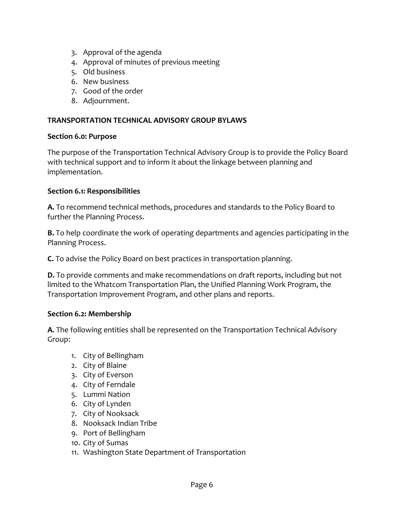- 3. Approval of the agenda
- 4. Approval of minutes of previous meeting
- 5. Old business
- 6. New business
- 7. Good of the order
- 8. Adjournment.

#### **TRANSPORTATION TECHNICAL ADVISORY GROUP BYLAWS**

#### **Section 6.0: Purpose**

The purpose of the Transportation Technical Advisory Group is to provide the Policy Board with technical support and to inform it about the linkage between planning and implementation.

### **Section 6.1: Responsibilities**

**A.** To recommend technical methods, procedures and standards to the Policy Board to further the Planning Process.

**B.** To help coordinate the work of operating departments and agencies participating in the Planning Process.

**C.** To advise the Policy Board on best practices in transportation planning.

**D.** To provide comments and make recommendations on draft reports, including but not limited to the Whatcom Transportation Plan, the Unified Planning Work Program, the Transportation Improvement Program, and other plans and reports.

### **Section 6.2: Membership**

**A.** The following entities shall be represented on the Transportation Technical Advisory Group:

- 1. City of Bellingham
- 2. City of Blaine
- 3. City of Everson
- 4. City of Ferndale
- 5. Lummi Nation
- 6. City of Lynden
- 7. City of Nooksack
- 8. Nooksack Indian Tribe
- 9. Port of Bellingham
- 10. City of Sumas
- 11. Washington State Department of Transportation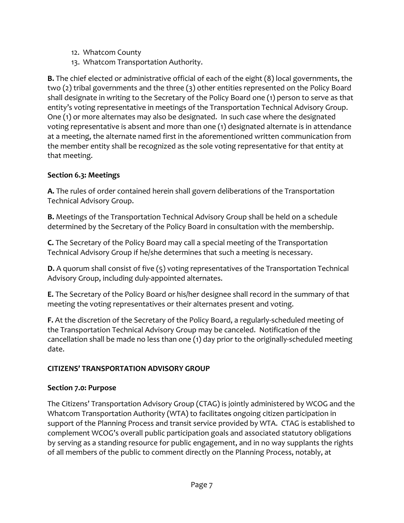- 12. Whatcom County
- 13. Whatcom Transportation Authority.

**B.** The chief elected or administrative official of each of the eight (8) local governments, the two (2) tribal governments and the three (3) other entities represented on the Policy Board shall designate in writing to the Secretary of the Policy Board one (1) person to serve as that entity's voting representative in meetings of the Transportation Technical Advisory Group. One (1) or more alternates may also be designated. In such case where the designated voting representative is absent and more than one (1) designated alternate is in attendance at a meeting, the alternate named first in the aforementioned written communication from the member entity shall be recognized as the sole voting representative for that entity at that meeting.

# **Section 6.3: Meetings**

**A.** The rules of order contained herein shall govern deliberations of the Transportation Technical Advisory Group.

**B.** Meetings of the Transportation Technical Advisory Group shall be held on a schedule determined by the Secretary of the Policy Board in consultation with the membership.

**C.** The Secretary of the Policy Board may call a special meeting of the Transportation Technical Advisory Group if he/she determines that such a meeting is necessary.

**D.** A quorum shall consist of five (5) voting representatives of the Transportation Technical Advisory Group, including duly-appointed alternates.

**E.** The Secretary of the Policy Board or his/her designee shall record in the summary of that meeting the voting representatives or their alternates present and voting.

**F.** At the discretion of the Secretary of the Policy Board, a regularly-scheduled meeting of the Transportation Technical Advisory Group may be canceled. Notification of the cancellation shall be made no less than one (1) day prior to the originally-scheduled meeting date.

# **CITIZENS' TRANSPORTATION ADVISORY GROUP**

# **Section 7.0: Purpose**

The Citizens' Transportation Advisory Group (CTAG) is jointly administered by WCOG and the Whatcom Transportation Authority (WTA) to facilitates ongoing citizen participation in support of the Planning Process and transit service provided by WTA. CTAG is established to complement WCOG's overall public participation goals and associated statutory obligations by serving as a standing resource for public engagement, and in no way supplants the rights of all members of the public to comment directly on the Planning Process, notably, at